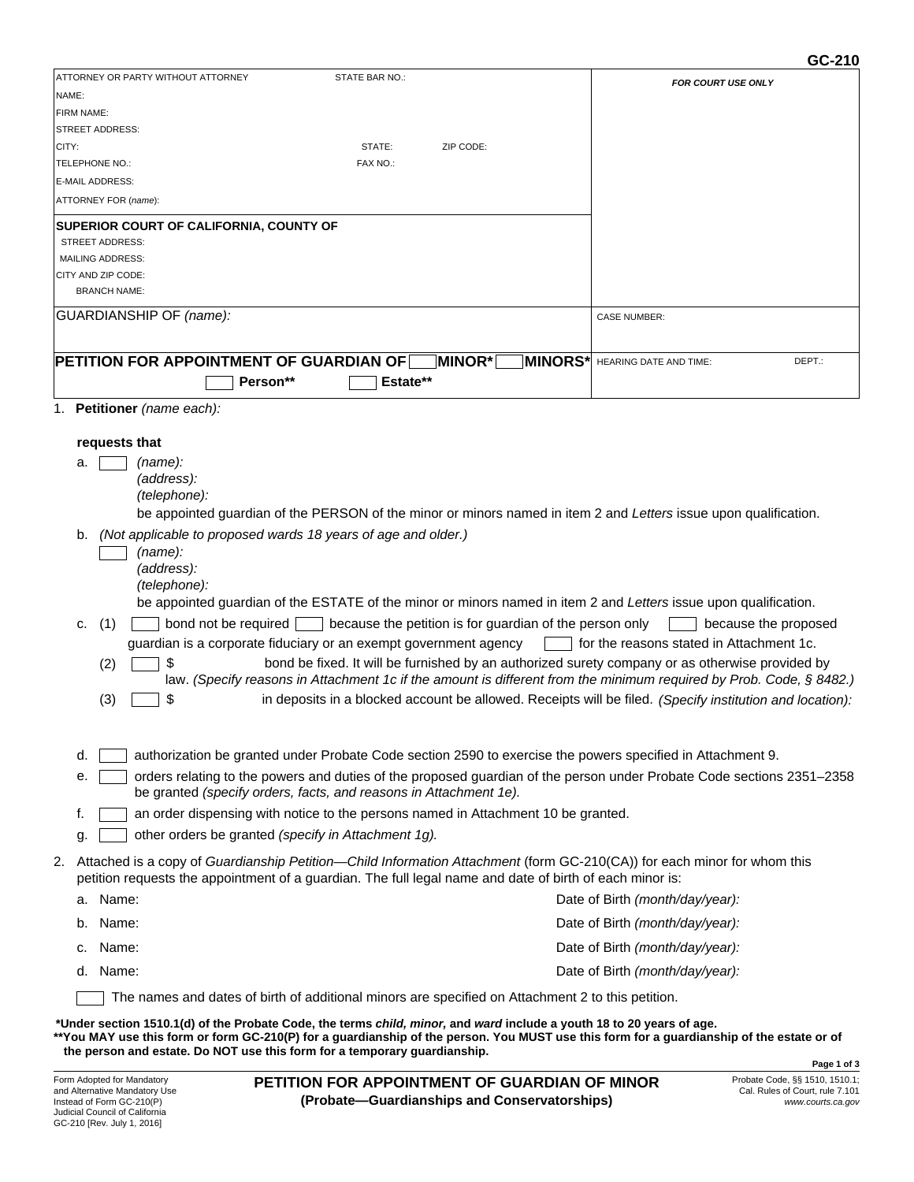## **GC-210**

|            |                                                                                                                                                                                                                                                                           | 96-219                                   |
|------------|---------------------------------------------------------------------------------------------------------------------------------------------------------------------------------------------------------------------------------------------------------------------------|------------------------------------------|
|            | ATTORNEY OR PARTY WITHOUT ATTORNEY<br>STATE BAR NO.:                                                                                                                                                                                                                      | <b>FOR COURT USE ONLY</b>                |
| NAME:      |                                                                                                                                                                                                                                                                           |                                          |
| FIRM NAME: |                                                                                                                                                                                                                                                                           |                                          |
|            | <b>STREET ADDRESS:</b>                                                                                                                                                                                                                                                    |                                          |
| CITY:      | STATE:<br>ZIP CODE:                                                                                                                                                                                                                                                       |                                          |
|            | TELEPHONE NO.:<br>FAX NO.:                                                                                                                                                                                                                                                |                                          |
|            | E-MAIL ADDRESS:                                                                                                                                                                                                                                                           |                                          |
|            | ATTORNEY FOR (name):                                                                                                                                                                                                                                                      |                                          |
|            | SUPERIOR COURT OF CALIFORNIA, COUNTY OF                                                                                                                                                                                                                                   |                                          |
|            | <b>STREET ADDRESS:</b>                                                                                                                                                                                                                                                    |                                          |
|            | <b>MAILING ADDRESS:</b>                                                                                                                                                                                                                                                   |                                          |
|            | CITY AND ZIP CODE:                                                                                                                                                                                                                                                        |                                          |
|            | <b>BRANCH NAME:</b>                                                                                                                                                                                                                                                       |                                          |
|            | GUARDIANSHIP OF (name):                                                                                                                                                                                                                                                   | <b>CASE NUMBER:</b>                      |
|            |                                                                                                                                                                                                                                                                           |                                          |
|            | PETITION FOR APPOINTMENT OF GUARDIAN OF $\sqcap$<br>MINOR*<br>MINORS*                                                                                                                                                                                                     | HEARING DATE AND TIME:<br>DEPT.:         |
|            | Estate**<br>Person**                                                                                                                                                                                                                                                      |                                          |
|            |                                                                                                                                                                                                                                                                           |                                          |
|            | 1. Petitioner (name each):                                                                                                                                                                                                                                                |                                          |
|            |                                                                                                                                                                                                                                                                           |                                          |
|            | requests that                                                                                                                                                                                                                                                             |                                          |
| a.         | (name):                                                                                                                                                                                                                                                                   |                                          |
|            | (address):                                                                                                                                                                                                                                                                |                                          |
|            | (telephone):                                                                                                                                                                                                                                                              |                                          |
|            | be appointed guardian of the PERSON of the minor or minors named in item 2 and Letters issue upon qualification.                                                                                                                                                          |                                          |
| b.         | (Not applicable to proposed wards 18 years of age and older.)                                                                                                                                                                                                             |                                          |
|            | (name):                                                                                                                                                                                                                                                                   |                                          |
|            | (address):                                                                                                                                                                                                                                                                |                                          |
|            | (telephone):                                                                                                                                                                                                                                                              |                                          |
|            | be appointed guardian of the ESTATE of the minor or minors named in item 2 and Letters issue upon qualification.                                                                                                                                                          |                                          |
| c.         | because the petition is for guardian of the person only<br>(1)<br>bond not be required                                                                                                                                                                                    | because the proposed                     |
|            | guardian is a corporate fiduciary or an exempt government agency                                                                                                                                                                                                          | for the reasons stated in Attachment 1c. |
|            | bond be fixed. It will be furnished by an authorized surety company or as otherwise provided by<br>(2)                                                                                                                                                                    |                                          |
|            | law. (Specify reasons in Attachment 1c if the amount is different from the minimum required by Prob. Code, § 8482.)                                                                                                                                                       |                                          |
|            | in deposits in a blocked account be allowed. Receipts will be filed. (Specify institution and location):<br>(3)<br>S                                                                                                                                                      |                                          |
|            |                                                                                                                                                                                                                                                                           |                                          |
|            |                                                                                                                                                                                                                                                                           |                                          |
| d.         | authorization be granted under Probate Code section 2590 to exercise the powers specified in Attachment 9.                                                                                                                                                                |                                          |
| е.         | orders relating to the powers and duties of the proposed guardian of the person under Probate Code sections 2351-2358<br>be granted (specify orders, facts, and reasons in Attachment 1e).                                                                                |                                          |
| f.         | an order dispensing with notice to the persons named in Attachment 10 be granted.                                                                                                                                                                                         |                                          |
|            | other orders be granted (specify in Attachment 1g).                                                                                                                                                                                                                       |                                          |
| g.         |                                                                                                                                                                                                                                                                           |                                          |
|            | 2. Attached is a copy of Guardianship Petition—Child Information Attachment (form GC-210(CA)) for each minor for whom this<br>petition requests the appointment of a guardian. The full legal name and date of birth of each minor is:                                    |                                          |
|            | a. Name:                                                                                                                                                                                                                                                                  | Date of Birth (month/day/year):          |
| b.         | Name:                                                                                                                                                                                                                                                                     | Date of Birth (month/day/year):          |
| c.         | Name:                                                                                                                                                                                                                                                                     | Date of Birth (month/day/year):          |
|            | d. Name:                                                                                                                                                                                                                                                                  | Date of Birth (month/day/year):          |
|            |                                                                                                                                                                                                                                                                           |                                          |
|            | The names and dates of birth of additional minors are specified on Attachment 2 to this petition.                                                                                                                                                                         |                                          |
|            | *Under section 1510.1(d) of the Probate Code, the terms <i>child, minor,</i> and ward include a youth 18 to 20 years of age.<br>**You MAY use this form or form GC-210(P) for a quardianship of the person. You MUST use this form for a quardianship of the estate or of |                                          |

**\*\*You MAY use this form or form GC-210(P) for a guardianship of the person. You MUST use this form for a guardianship of the estate or of the person and estate. Do NOT use this form for a temporary guardianship.**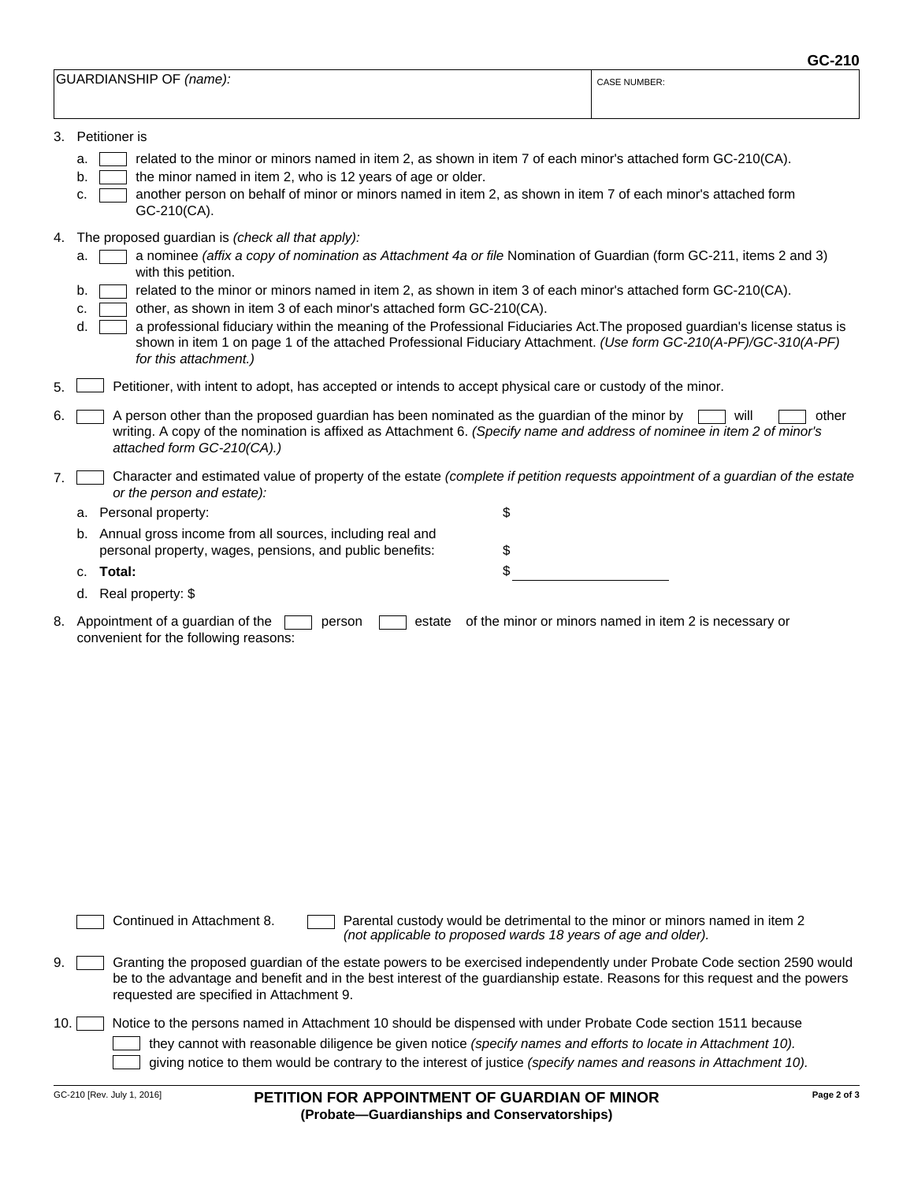|                         | GC-210              |
|-------------------------|---------------------|
| GUARDIANSHIP OF (name): | <b>CASE NUMBER:</b> |
|                         |                     |

| 3. | Petitioner is |  |
|----|---------------|--|
|    |               |  |

a. b.

- related to the minor or minors named in item 2, as shown in item 7 of each minor's attached form GC-210(CA).
- the minor named in item 2, who is 12 years of age or older.
- c. another person on behalf of minor or minors named in item 2, as shown in item 7 of each minor's attached form GC-210(CA).
- The proposed guardian is *(check all that apply):* 4.

|  |                     |  | a. a nominee (affix a copy of nomination as Attachment 4a or file Nomination of Guardian (form GC-211, items 2 and 3) |  |  |  |
|--|---------------------|--|-----------------------------------------------------------------------------------------------------------------------|--|--|--|
|  | with this petition. |  |                                                                                                                       |  |  |  |

- b. related to the minor or minors named in item 2, as shown in item 3 of each minor's attached form GC-210(CA).
- c. other, as shown in item 3 of each minor's attached form GC-210(CA).

|  | d. <b>quart a</b> professional fiduciary within the meaning of the Professional Fiduciaries Act. The proposed guardian's license status is |
|--|--------------------------------------------------------------------------------------------------------------------------------------------|
|  | shown in item 1 on page 1 of the attached Professional Fiduciary Attachment. (Use form GC-210(A-PF)/GC-310(A-PF)                           |
|  | for this attachment.)                                                                                                                      |

- 5. Petitioner, with intent to adopt, has accepted or intends to accept physical care or custody of the minor.
- 6. A person other than the proposed guardian has been nominated as the guardian of the minor by [ writing. A copy of the nomination is affixed as Attachment 6. *(Specify name and address of nominee in item 2 of minor's attached form GC-210(CA).)*  $\Box$  will  $\Box$  other
- 7. Character and estimated value of property of the estate *(complete if petition requests appointment of a guardian of the estate or the person and estate):*

| c. Total:                                                                                                               |  |
|-------------------------------------------------------------------------------------------------------------------------|--|
| b. Annual gross income from all sources, including real and<br>personal property, wages, pensions, and public benefits: |  |
| a. Personal property:                                                                                                   |  |

d. Real property: \$

a. Personal property:

Appointment of a guardian of the  $\Box$  person  $\Box$  estate of the minor or minors named in item 2 is necessary or convenient for the following reasons: 8. Appointment of a guardian of the

Continued in Attachment 8. **Parental custody would be detrimental to the minor or minors named in item 2** *(not applicable to proposed wards 18 years of age and older).*

9. Granting the proposed guardian of the estate powers to be exercised independently under Probate Code section 2590 would be to the advantage and benefit and in the best interest of the guardianship estate. Reasons for this request and the powers requested are specified in Attachment 9.

|  | 10. Notice to the persons named in Attachment 10 should be dispensed with under Probate Code section 1511 because |
|--|-------------------------------------------------------------------------------------------------------------------|
|--|-------------------------------------------------------------------------------------------------------------------|

they cannot with reasonable diligence be given notice *(specify names and efforts to locate in Attachment 10).* giving notice to them would be contrary to the interest of justice *(specify names and reasons in Attachment 10).*